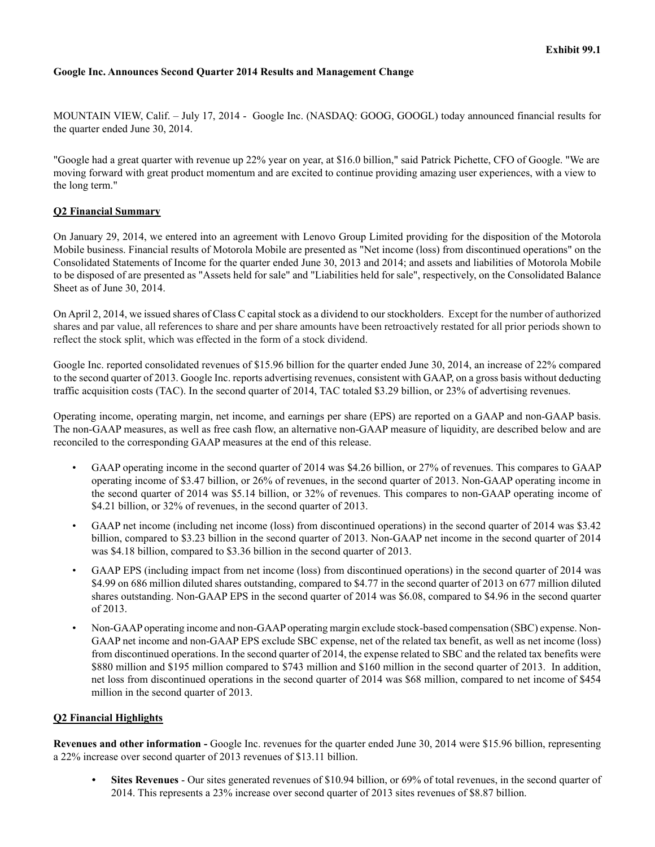### **Google Inc. Announces Second Quarter 2014 Results and Management Change**

MOUNTAIN VIEW, Calif. – July 17, 2014 - Google Inc. (NASDAQ: GOOG, GOOGL) today announced financial results for the quarter ended June 30, 2014.

"Google had a great quarter with revenue up 22% year on year, at \$16.0 billion," said Patrick Pichette, CFO of Google. "We are moving forward with great product momentum and are excited to continue providing amazing user experiences, with a view to the long term."

### **Q2 Financial Summary**

On January 29, 2014, we entered into an agreement with Lenovo Group Limited providing for the disposition of the Motorola Mobile business. Financial results of Motorola Mobile are presented as "Net income (loss) from discontinued operations" on the Consolidated Statements of Income for the quarter ended June 30, 2013 and 2014; and assets and liabilities of Motorola Mobile to be disposed of are presented as "Assets held for sale" and "Liabilities held for sale", respectively, on the Consolidated Balance Sheet as of June 30, 2014.

On April 2, 2014, we issued shares of Class C capital stock as a dividend to our stockholders. Except for the number of authorized shares and par value, all references to share and per share amounts have been retroactively restated for all prior periods shown to reflect the stock split, which was effected in the form of a stock dividend.

Google Inc. reported consolidated revenues of \$15.96 billion for the quarter ended June 30, 2014, an increase of 22% compared to the second quarter of 2013. Google Inc. reports advertising revenues, consistent with GAAP, on a gross basis without deducting traffic acquisition costs (TAC). In the second quarter of 2014, TAC totaled \$3.29 billion, or 23% of advertising revenues.

Operating income, operating margin, net income, and earnings per share (EPS) are reported on a GAAP and non-GAAP basis. The non-GAAP measures, as well as free cash flow, an alternative non-GAAP measure of liquidity, are described below and are reconciled to the corresponding GAAP measures at the end of this release.

- GAAP operating income in the second quarter of 2014 was \$4.26 billion, or 27% of revenues. This compares to GAAP operating income of \$3.47 billion, or 26% of revenues, in the second quarter of 2013. Non-GAAP operating income in the second quarter of 2014 was \$5.14 billion, or 32% of revenues. This compares to non-GAAP operating income of \$4.21 billion, or 32% of revenues, in the second quarter of 2013.
- GAAP net income (including net income (loss) from discontinued operations) in the second quarter of 2014 was \$3.42 billion, compared to \$3.23 billion in the second quarter of 2013. Non-GAAP net income in the second quarter of 2014 was \$4.18 billion, compared to \$3.36 billion in the second quarter of 2013.
- GAAP EPS (including impact from net income (loss) from discontinued operations) in the second quarter of 2014 was \$4.99 on 686 million diluted shares outstanding, compared to \$4.77 in the second quarter of 2013 on 677 million diluted shares outstanding. Non-GAAP EPS in the second quarter of 2014 was \$6.08, compared to \$4.96 in the second quarter of 2013.
- Non-GAAPoperating income and non-GAAPoperating margin exclude stock-based compensation (SBC) expense. Non-GAAP net income and non-GAAP EPS exclude SBC expense, net of the related tax benefit, as well as net income (loss) from discontinued operations. In the second quarter of 2014, the expense related to SBC and the related tax benefits were \$880 million and \$195 million compared to \$743 million and \$160 million in the second quarter of 2013. In addition, net loss from discontinued operations in the second quarter of 2014 was \$68 million, compared to net income of \$454 million in the second quarter of 2013.

### **Q2 Financial Highlights**

**Revenues and other information -** Google Inc. revenues for the quarter ended June 30, 2014 were \$15.96 billion, representing a 22% increase over second quarter of 2013 revenues of \$13.11 billion.

• Sites Revenues - Our sites generated revenues of \$10.94 billion, or 69% of total revenues, in the second quarter of 2014. This represents a 23% increase over second quarter of 2013 sites revenues of \$8.87 billion.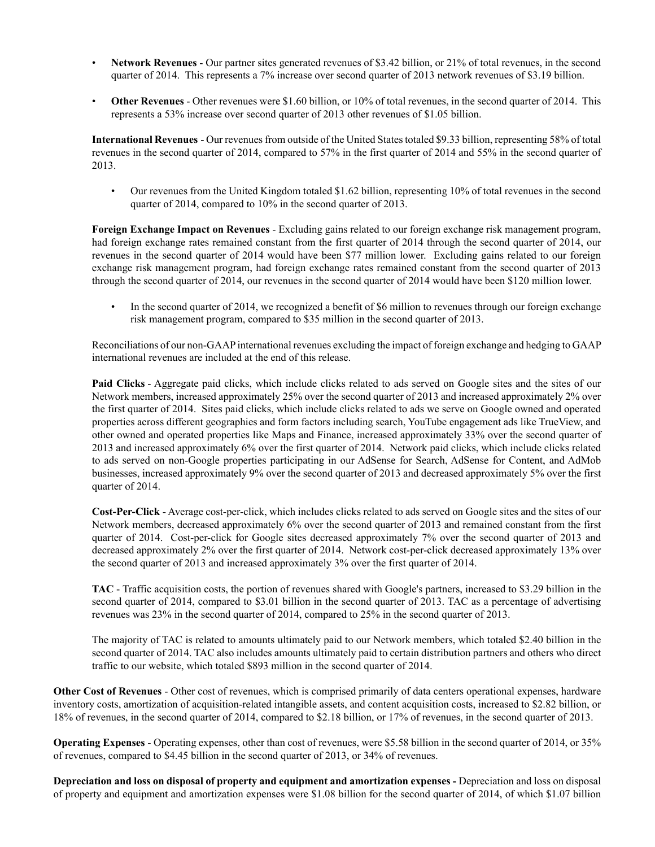- **Network Revenues** Our partner sites generated revenues of \$3.42 billion, or 21% of total revenues, in the second quarter of 2014. This represents a 7% increase over second quarter of 2013 network revenues of \$3.19 billion.
- **Other Revenues** Other revenues were \$1.60 billion, or 10% of total revenues, in the second quarter of 2014. This represents a 53% increase over second quarter of 2013 other revenues of \$1.05 billion.

**International Revenues** - Our revenues from outside of the United States totaled \$9.33 billion, representing 58% of total revenues in the second quarter of 2014, compared to 57% in the first quarter of 2014 and 55% in the second quarter of 2013.

• Our revenues from the United Kingdom totaled \$1.62 billion, representing 10% of total revenues in the second quarter of 2014, compared to 10% in the second quarter of 2013.

**Foreign Exchange Impact on Revenues** - Excluding gains related to our foreign exchange risk management program, had foreign exchange rates remained constant from the first quarter of 2014 through the second quarter of 2014, our revenues in the second quarter of 2014 would have been \$77 million lower. Excluding gains related to our foreign exchange risk management program, had foreign exchange rates remained constant from the second quarter of 2013 through the second quarter of 2014, our revenues in the second quarter of 2014 would have been \$120 million lower.

In the second quarter of 2014, we recognized a benefit of \$6 million to revenues through our foreign exchange risk management program, compared to \$35 million in the second quarter of 2013.

Reconciliations of our non-GAAPinternational revenues excluding the impact of foreign exchange and hedging to GAAP international revenues are included at the end of this release.

**Paid Clicks** - Aggregate paid clicks, which include clicks related to ads served on Google sites and the sites of our Network members, increased approximately 25% over the second quarter of 2013 and increased approximately 2% over the first quarter of 2014. Sites paid clicks, which include clicks related to ads we serve on Google owned and operated properties across different geographies and form factors including search, YouTube engagement ads like TrueView, and other owned and operated properties like Maps and Finance, increased approximately 33% over the second quarter of 2013 and increased approximately 6% over the first quarter of 2014. Network paid clicks, which include clicks related to ads served on non-Google properties participating in our AdSense for Search, AdSense for Content, and AdMob businesses, increased approximately 9% over the second quarter of 2013 and decreased approximately 5% over the first quarter of 2014.

**Cost-Per-Click** - Average cost-per-click, which includes clicks related to ads served on Google sites and the sites of our Network members, decreased approximately 6% over the second quarter of 2013 and remained constant from the first quarter of 2014. Cost-per-click for Google sites decreased approximately 7% over the second quarter of 2013 and decreased approximately 2% over the first quarter of 2014. Network cost-per-click decreased approximately 13% over the second quarter of 2013 and increased approximately 3% over the first quarter of 2014.

**TAC** - Traffic acquisition costs, the portion of revenues shared with Google's partners, increased to \$3.29 billion in the second quarter of 2014, compared to \$3.01 billion in the second quarter of 2013. TAC as a percentage of advertising revenues was 23% in the second quarter of 2014, compared to 25% in the second quarter of 2013.

The majority of TAC is related to amounts ultimately paid to our Network members, which totaled \$2.40 billion in the second quarter of 2014. TAC also includes amounts ultimately paid to certain distribution partners and others who direct traffic to our website, which totaled \$893 million in the second quarter of 2014.

**Other Cost of Revenues** - Other cost of revenues, which is comprised primarily of data centers operational expenses, hardware inventory costs, amortization of acquisition-related intangible assets, and content acquisition costs, increased to \$2.82 billion, or 18% of revenues, in the second quarter of 2014, compared to \$2.18 billion, or 17% of revenues, in the second quarter of 2013.

**Operating Expenses** - Operating expenses, other than cost of revenues, were \$5.58 billion in the second quarter of 2014, or 35% of revenues, compared to \$4.45 billion in the second quarter of 2013, or 34% of revenues.

**Depreciation and loss on disposal of property and equipment and amortization expenses -** Depreciation and loss on disposal of property and equipment and amortization expenses were \$1.08 billion for the second quarter of 2014, of which \$1.07 billion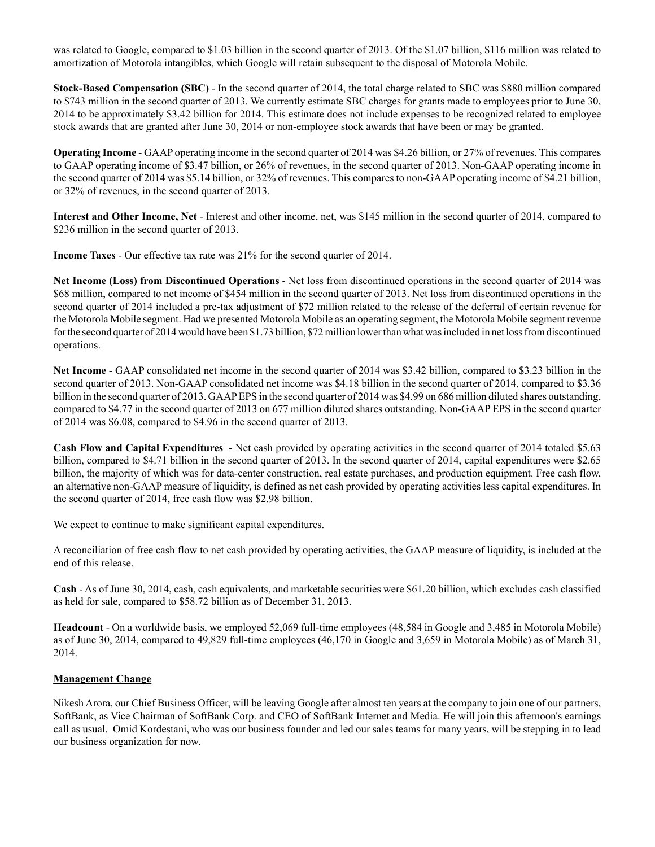was related to Google, compared to \$1.03 billion in the second quarter of 2013. Of the \$1.07 billion, \$116 million was related to amortization of Motorola intangibles, which Google will retain subsequent to the disposal of Motorola Mobile.

**Stock-Based Compensation (SBC)** - In the second quarter of 2014, the total charge related to SBC was \$880 million compared to \$743 million in the second quarter of 2013. We currently estimate SBC charges for grants made to employees prior to June 30, 2014 to be approximately \$3.42 billion for 2014. This estimate does not include expenses to be recognized related to employee stock awards that are granted after June 30, 2014 or non-employee stock awards that have been or may be granted.

**Operating Income** - GAAPoperating income in the second quarter of 2014 was \$4.26 billion, or 27% of revenues. This compares to GAAP operating income of \$3.47 billion, or 26% of revenues, in the second quarter of 2013. Non-GAAP operating income in the second quarter of 2014 was \$5.14 billion, or 32% of revenues. This compares to non-GAAPoperating income of \$4.21 billion, or 32% of revenues, in the second quarter of 2013.

**Interest and Other Income, Net** - Interest and other income, net, was \$145 million in the second quarter of 2014, compared to \$236 million in the second quarter of 2013.

**Income Taxes** - Our effective tax rate was 21% for the second quarter of 2014.

**Net Income (Loss) from Discontinued Operations** - Net loss from discontinued operations in the second quarter of 2014 was \$68 million, compared to net income of \$454 million in the second quarter of 2013. Net loss from discontinued operations in the second quarter of 2014 included a pre-tax adjustment of \$72 million related to the release of the deferral of certain revenue for the Motorola Mobile segment. Had we presented Motorola Mobile as an operating segment, the Motorola Mobile segment revenue for the second quarter of 2014would have been \$1.73 billion, \$72 million lower than what was included in net loss from discontinued operations.

**Net Income** - GAAP consolidated net income in the second quarter of 2014 was \$3.42 billion, compared to \$3.23 billion in the second quarter of 2013. Non-GAAP consolidated net income was \$4.18 billion in the second quarter of 2014, compared to \$3.36 billion in the second quarter of 2013. GAAPEPS in the second quarter of 2014 was \$4.99 on 686 million diluted shares outstanding, compared to \$4.77 in the second quarter of 2013 on 677 million diluted shares outstanding. Non-GAAP EPS in the second quarter of 2014 was \$6.08, compared to \$4.96 in the second quarter of 2013.

**Cash Flow and Capital Expenditures** - Net cash provided by operating activities in the second quarter of 2014 totaled \$5.63 billion, compared to \$4.71 billion in the second quarter of 2013. In the second quarter of 2014, capital expenditures were \$2.65 billion, the majority of which was for data-center construction, real estate purchases, and production equipment. Free cash flow, an alternative non-GAAP measure of liquidity, is defined as net cash provided by operating activities less capital expenditures. In the second quarter of 2014, free cash flow was \$2.98 billion.

We expect to continue to make significant capital expenditures.

A reconciliation of free cash flow to net cash provided by operating activities, the GAAP measure of liquidity, is included at the end of this release.

**Cash** - As of June 30, 2014, cash, cash equivalents, and marketable securities were \$61.20 billion, which excludes cash classified as held for sale, compared to \$58.72 billion as of December 31, 2013.

**Headcount** - On a worldwide basis, we employed 52,069 full-time employees (48,584 in Google and 3,485 in Motorola Mobile) as of June 30, 2014, compared to 49,829 full-time employees (46,170 in Google and 3,659 in Motorola Mobile) as of March 31, 2014.

### **Management Change**

Nikesh Arora, our Chief Business Officer, will be leaving Google after almost ten years at the company to join one of our partners, SoftBank, as Vice Chairman of SoftBank Corp. and CEO of SoftBank Internet and Media. He will join this afternoon's earnings call as usual. Omid Kordestani, who was our business founder and led our sales teams for many years, will be stepping in to lead our business organization for now.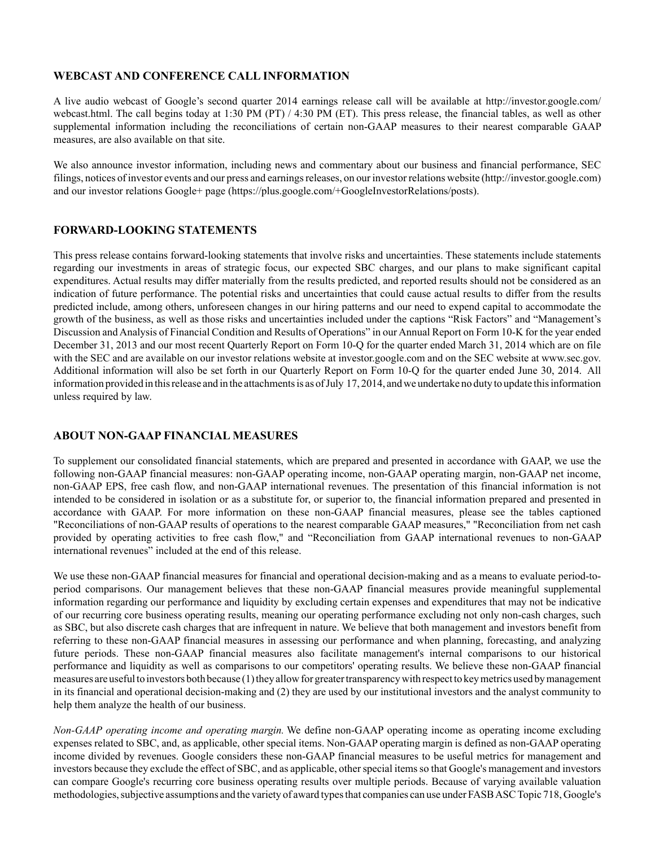## **WEBCAST AND CONFERENCE CALL INFORMATION**

A live audio webcast of Google's second quarter 2014 earnings release call will be available at http://investor.google.com/ webcast.html. The call begins today at 1:30 PM (PT) / 4:30 PM (ET). This press release, the financial tables, as well as other supplemental information including the reconciliations of certain non-GAAP measures to their nearest comparable GAAP measures, are also available on that site.

We also announce investor information, including news and commentary about our business and financial performance, SEC filings, notices of investor events and our press and earnings releases, on our investor relations website (http://investor.google.com) and our investor relations Google+ page (https://plus.google.com/+GoogleInvestorRelations/posts).

## **FORWARD-LOOKING STATEMENTS**

This press release contains forward-looking statements that involve risks and uncertainties. These statements include statements regarding our investments in areas of strategic focus, our expected SBC charges, and our plans to make significant capital expenditures. Actual results may differ materially from the results predicted, and reported results should not be considered as an indication of future performance. The potential risks and uncertainties that could cause actual results to differ from the results predicted include, among others, unforeseen changes in our hiring patterns and our need to expend capital to accommodate the growth of the business, as well as those risks and uncertainties included under the captions "Risk Factors" and "Management's Discussion and Analysis of Financial Condition and Results of Operations" in our Annual Report on Form 10-K for the year ended December 31, 2013 and our most recent Quarterly Report on Form 10-Q for the quarter ended March 31, 2014 which are on file with the SEC and are available on our investor relations website at investor.google.com and on the SEC website at www.sec.gov. Additional information will also be set forth in our Quarterly Report on Form 10-Q for the quarter ended June 30, 2014. All information provided in this release and in the attachments is as of July 17, 2014, and we undertake no duty to update this information unless required by law.

## **ABOUT NON-GAAP FINANCIAL MEASURES**

To supplement our consolidated financial statements, which are prepared and presented in accordance with GAAP, we use the following non-GAAP financial measures: non-GAAP operating income, non-GAAP operating margin, non-GAAP net income, non-GAAP EPS, free cash flow, and non-GAAP international revenues. The presentation of this financial information is not intended to be considered in isolation or as a substitute for, or superior to, the financial information prepared and presented in accordance with GAAP. For more information on these non-GAAP financial measures, please see the tables captioned "Reconciliations of non-GAAP results of operations to the nearest comparable GAAP measures," "Reconciliation from net cash provided by operating activities to free cash flow," and "Reconciliation from GAAP international revenues to non-GAAP international revenues" included at the end of this release.

We use these non-GAAPfinancial measures for financial and operational decision-making and as a means to evaluate period-toperiod comparisons. Our management believes that these non-GAAP financial measures provide meaningful supplemental information regarding our performance and liquidity by excluding certain expenses and expenditures that may not be indicative of our recurring core business operating results, meaning our operating performance excluding not only non-cash charges, such as SBC, but also discrete cash charges that are infrequent in nature. We believe that both management and investors benefit from referring to these non-GAAP financial measures in assessing our performance and when planning, forecasting, and analyzing future periods. These non-GAAP financial measures also facilitate management's internal comparisons to our historical performance and liquidity as well as comparisons to our competitors' operating results. We believe these non-GAAP financial measures are useful to investors both because (1) they allow for greater transparency with respect to key metrics used by management in its financial and operational decision-making and (2) they are used by our institutional investors and the analyst community to help them analyze the health of our business.

*Non-GAAP operating income and operating margin.* We define non-GAAP operating income as operating income excluding expenses related to SBC, and, as applicable, other special items. Non-GAAPoperating margin is defined as non-GAAPoperating income divided by revenues. Google considers these non-GAAP financial measures to be useful metrics for management and investors because they exclude the effect of SBC, and as applicable, other special items so that Google's management and investors can compare Google's recurring core business operating results over multiple periods. Because of varying available valuation methodologies, subjective assumptions and the variety of award types that companies can use under FASB ASC Topic 718, Google's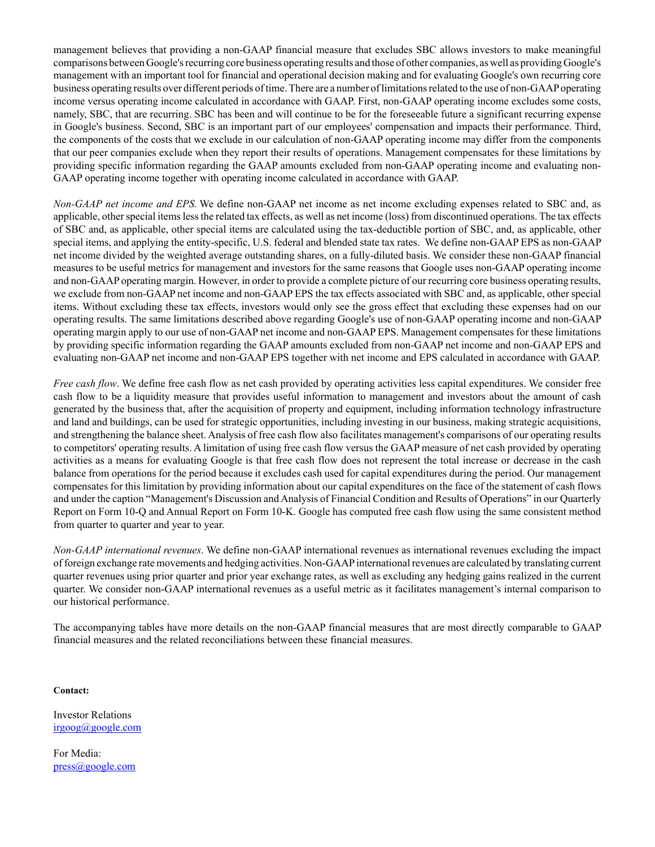management believes that providing a non-GAAP financial measure that excludes SBC allows investors to make meaningful comparisons between Google's recurring core business operating results and those of other companies, as well as providing Google's management with an important tool for financial and operational decision making and for evaluating Google's own recurring core business operating results over different periods of time. There are a number of limitations related to the use of non-GAAPoperating income versus operating income calculated in accordance with GAAP. First, non-GAAP operating income excludes some costs, namely, SBC, that are recurring. SBC has been and will continue to be for the foreseeable future a significant recurring expense in Google's business. Second, SBC is an important part of our employees' compensation and impacts their performance. Third, the components of the costs that we exclude in our calculation of non-GAAP operating income may differ from the components that our peer companies exclude when they report their results of operations. Management compensates for these limitations by providing specific information regarding the GAAP amounts excluded from non-GAAP operating income and evaluating non-GAAP operating income together with operating income calculated in accordance with GAAP.

*Non-GAAP net income and EPS.* We define non-GAAP net income as net income excluding expenses related to SBC and, as applicable, other special items less the related tax effects, as well as net income (loss) from discontinued operations. The tax effects of SBC and, as applicable, other special items are calculated using the tax-deductible portion of SBC, and, as applicable, other special items, and applying the entity-specific, U.S. federal and blended state tax rates. We define non-GAAP EPS as non-GAAP net income divided by the weighted average outstanding shares, on a fully-diluted basis. We consider these non-GAAP financial measures to be useful metrics for management and investors for the same reasons that Google uses non-GAAP operating income and non-GAAPoperating margin. However, in order to provide a complete picture of our recurring core business operating results, we exclude from non-GAAP net income and non-GAAP EPS the tax effects associated with SBC and, as applicable, other special items. Without excluding these tax effects, investors would only see the gross effect that excluding these expenses had on our operating results. The same limitations described above regarding Google's use of non-GAAP operating income and non-GAAP operating margin apply to our use of non-GAAPnet income and non-GAAP EPS. Management compensates for these limitations by providing specific information regarding the GAAP amounts excluded from non-GAAP net income and non-GAAP EPS and evaluating non-GAAP net income and non-GAAP EPS together with net income and EPS calculated in accordance with GAAP.

*Free cash flow*. We define free cash flow as net cash provided by operating activities less capital expenditures. We consider free cash flow to be a liquidity measure that provides useful information to management and investors about the amount of cash generated by the business that, after the acquisition of property and equipment, including information technology infrastructure and land and buildings, can be used for strategic opportunities, including investing in our business, making strategic acquisitions, and strengthening the balance sheet. Analysis of free cash flow also facilitates management's comparisons of our operating results to competitors' operating results. A limitation of using free cash flow versus the GAAP measure of net cash provided by operating activities as a means for evaluating Google is that free cash flow does not represent the total increase or decrease in the cash balance from operations for the period because it excludes cash used for capital expenditures during the period. Our management compensates for this limitation by providing information about our capital expenditures on the face of the statement of cash flows and under the caption "Management's Discussion and Analysis of Financial Condition and Results of Operations" in our Quarterly Report on Form 10-Q and Annual Report on Form 10-K. Google has computed free cash flow using the same consistent method from quarter to quarter and year to year.

*Non-GAAP international revenues*. We define non-GAAP international revenues as international revenues excluding the impact of foreign exchange rate movements and hedging activities. Non-GAAPinternational revenues are calculated by translating current quarter revenues using prior quarter and prior year exchange rates, as well as excluding any hedging gains realized in the current quarter. We consider non-GAAP international revenues as a useful metric as it facilitates management's internal comparison to our historical performance.

The accompanying tables have more details on the non-GAAP financial measures that are most directly comparable to GAAP financial measures and the related reconciliations between these financial measures.

**Contact:**

Investor Relations irgoog@google.com

For Media: press@google.com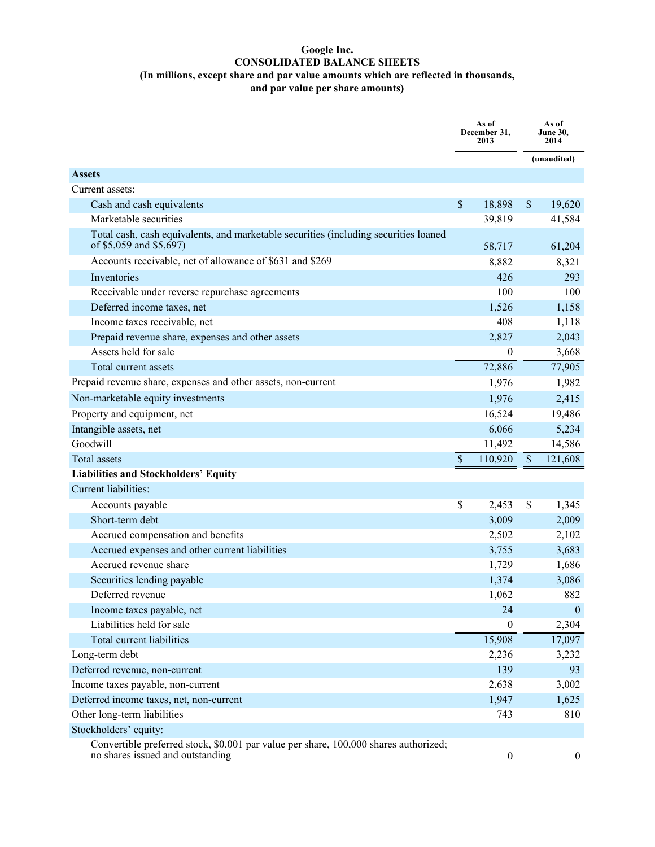### **Google Inc. CONSOLIDATED BALANCE SHEETS (In millions, except share and par value amounts which are reflected in thousands,**

**and par value per share amounts)**

|                                                                                                                          |                 | As of<br>December 31,<br>2013 |                           | As of<br><b>June 30,</b><br>2014 |
|--------------------------------------------------------------------------------------------------------------------------|-----------------|-------------------------------|---------------------------|----------------------------------|
|                                                                                                                          |                 |                               |                           | (unaudited)                      |
| <b>Assets</b>                                                                                                            |                 |                               |                           |                                  |
| Current assets:                                                                                                          |                 |                               |                           |                                  |
| Cash and cash equivalents                                                                                                | \$              | 18,898                        | $\boldsymbol{\mathsf{S}}$ | 19,620                           |
| Marketable securities                                                                                                    |                 | 39,819                        |                           | 41,584                           |
| Total cash, cash equivalents, and marketable securities (including securities loaned<br>of \$5,059 and \$5,697)          |                 | 58,717                        |                           | 61,204                           |
| Accounts receivable, net of allowance of \$631 and \$269                                                                 |                 | 8,882                         |                           | 8,321                            |
| Inventories                                                                                                              |                 | 426                           |                           | 293                              |
| Receivable under reverse repurchase agreements                                                                           |                 | 100                           |                           | 100                              |
| Deferred income taxes, net                                                                                               |                 | 1,526                         |                           | 1,158                            |
| Income taxes receivable, net                                                                                             |                 | 408                           |                           | 1,118                            |
| Prepaid revenue share, expenses and other assets                                                                         |                 | 2,827                         |                           | 2,043                            |
| Assets held for sale                                                                                                     |                 | $\mathbf{0}$                  |                           | 3,668                            |
| Total current assets                                                                                                     |                 | 72,886                        |                           | 77,905                           |
| Prepaid revenue share, expenses and other assets, non-current                                                            |                 | 1,976                         |                           | 1,982                            |
| Non-marketable equity investments                                                                                        |                 | 1,976                         |                           | 2,415                            |
| Property and equipment, net                                                                                              |                 | 16,524                        |                           | 19,486                           |
| Intangible assets, net                                                                                                   |                 | 6,066                         |                           | 5,234                            |
| Goodwill                                                                                                                 |                 | 11,492                        |                           | 14,586                           |
| Total assets                                                                                                             | $\overline{\$}$ | 110,920                       | $\mathcal{S}$             | 121,608                          |
| Liabilities and Stockholders' Equity                                                                                     |                 |                               |                           |                                  |
| Current liabilities:                                                                                                     |                 |                               |                           |                                  |
| Accounts payable                                                                                                         | \$              | 2,453                         | \$                        | 1,345                            |
| Short-term debt                                                                                                          |                 | 3,009                         |                           | 2,009                            |
| Accrued compensation and benefits                                                                                        |                 | 2,502                         |                           | 2,102                            |
| Accrued expenses and other current liabilities                                                                           |                 | 3,755                         |                           | 3,683                            |
| Accrued revenue share                                                                                                    |                 | 1,729                         |                           | 1,686                            |
| Securities lending payable                                                                                               |                 | 1,374                         |                           | 3,086                            |
| Deferred revenue                                                                                                         |                 | 1,062                         |                           | 882                              |
| Income taxes payable, net                                                                                                |                 | 24                            |                           | $\overline{0}$                   |
| Liabilities held for sale                                                                                                |                 | $\theta$                      |                           | 2,304                            |
| <b>Total current liabilities</b>                                                                                         |                 | 15,908                        |                           | 17,097                           |
| Long-term debt                                                                                                           |                 | 2,236                         |                           | 3,232                            |
| Deferred revenue, non-current                                                                                            |                 | 139                           |                           | 93                               |
| Income taxes payable, non-current                                                                                        |                 | 2,638                         |                           | 3,002                            |
| Deferred income taxes, net, non-current                                                                                  |                 | 1,947                         |                           | 1,625                            |
| Other long-term liabilities                                                                                              |                 | 743                           |                           | 810                              |
| Stockholders' equity:                                                                                                    |                 |                               |                           |                                  |
| Convertible preferred stock, \$0.001 par value per share, 100,000 shares authorized;<br>no shares issued and outstanding |                 | $\boldsymbol{0}$              |                           | $\mathbf{0}$                     |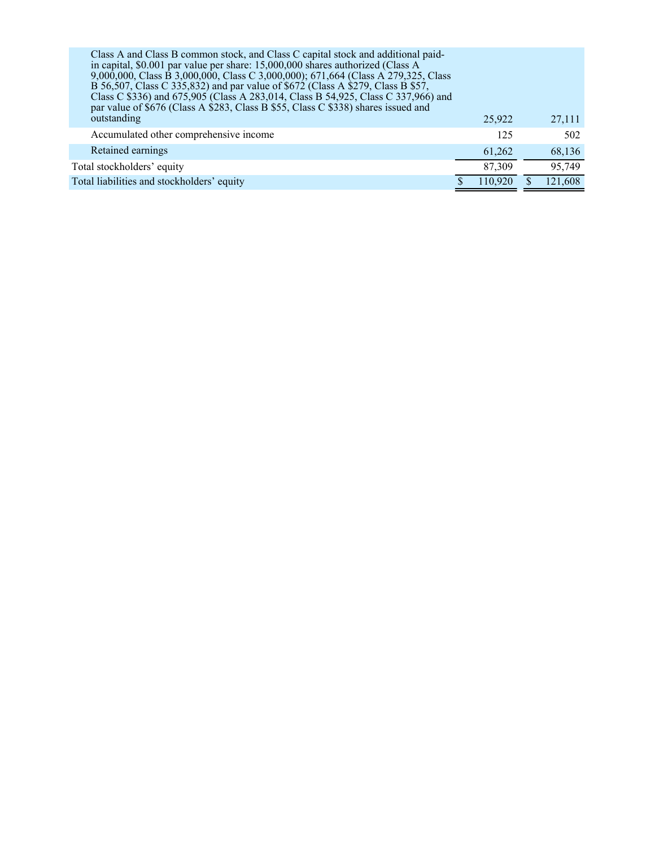| Class A and Class B common stock, and Class C capital stock and additional paid-<br>in capital, \$0.001 par value per share: 15,000,000 shares authorized (Class A<br>9,000,000, Class B 3,000,000, Class C 3,000,000); 671,664 (Class A 279,325, Class<br>B 56,507, Class C 335,832) and par value of \$672 (Class A \$279, Class B \$57,<br>Class C \$336) and 675,905 (Class A 283,014, Class B 54,925, Class C 337,966) and<br>par value of \$676 (Class A \$283, Class B \$55, Class C \$338) shares issued and |  |         |  |         |  |  |  |
|----------------------------------------------------------------------------------------------------------------------------------------------------------------------------------------------------------------------------------------------------------------------------------------------------------------------------------------------------------------------------------------------------------------------------------------------------------------------------------------------------------------------|--|---------|--|---------|--|--|--|
| outstanding                                                                                                                                                                                                                                                                                                                                                                                                                                                                                                          |  | 25,922  |  | 27,111  |  |  |  |
| Accumulated other comprehensive income                                                                                                                                                                                                                                                                                                                                                                                                                                                                               |  | 125     |  | 502     |  |  |  |
| Retained earnings                                                                                                                                                                                                                                                                                                                                                                                                                                                                                                    |  | 61,262  |  | 68,136  |  |  |  |
| Total stockholders' equity                                                                                                                                                                                                                                                                                                                                                                                                                                                                                           |  | 87.309  |  | 95,749  |  |  |  |
| Total liabilities and stockholders' equity                                                                                                                                                                                                                                                                                                                                                                                                                                                                           |  | 110,920 |  | 121,608 |  |  |  |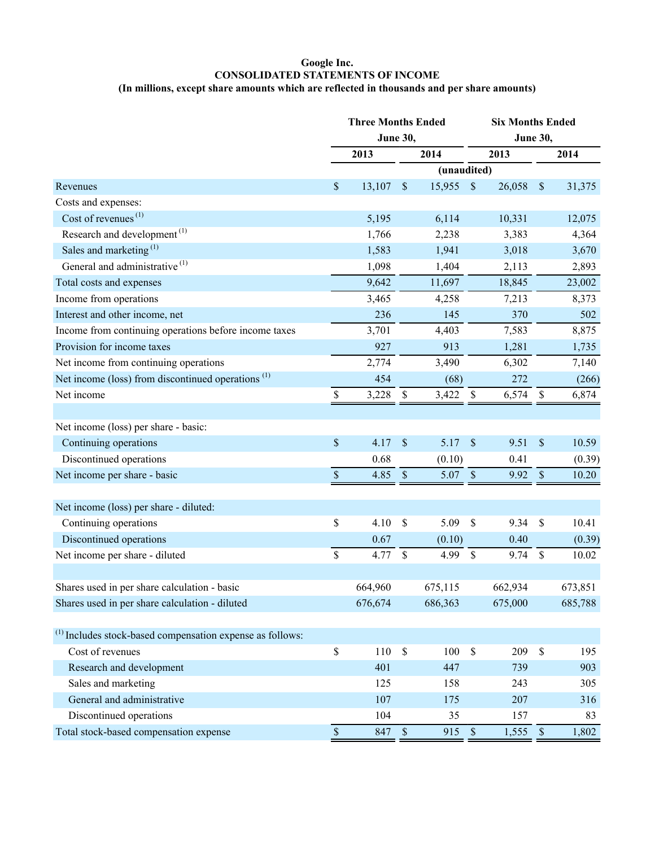### **Google Inc. CONSOLIDATED STATEMENTS OF INCOME (In millions, except share amounts which are reflected in thousands and per share amounts)**

|                                                               | <b>Three Months Ended</b><br><b>June 30,</b> |         |               | <b>Six Months Ended</b> |                           |            |                           |         |  |
|---------------------------------------------------------------|----------------------------------------------|---------|---------------|-------------------------|---------------------------|------------|---------------------------|---------|--|
|                                                               |                                              |         |               |                         | <b>June 30,</b>           |            |                           |         |  |
|                                                               |                                              | 2013    |               | 2014                    |                           | 2013       |                           | 2014    |  |
|                                                               |                                              |         |               | (unaudited)             |                           |            |                           |         |  |
| Revenues                                                      | $\mathbb S$                                  | 13,107  | \$            | 15,955                  | \$                        | 26,058     | $\boldsymbol{\mathsf{S}}$ | 31,375  |  |
| Costs and expenses:                                           |                                              |         |               |                         |                           |            |                           |         |  |
| Cost of revenues $(1)$                                        |                                              | 5,195   |               | 6,114                   |                           | 10,331     |                           | 12,075  |  |
| Research and development <sup>(1)</sup>                       |                                              | 1,766   |               | 2,238                   |                           | 3,383      |                           | 4,364   |  |
| Sales and marketing <sup>(1)</sup>                            |                                              | 1,583   |               | 1,941                   |                           | 3,018      |                           | 3,670   |  |
| General and administrative <sup>(1)</sup>                     |                                              | 1,098   |               | 1,404                   |                           | 2,113      |                           | 2,893   |  |
| Total costs and expenses                                      |                                              | 9,642   |               | 11,697                  |                           | 18,845     |                           | 23,002  |  |
| Income from operations                                        |                                              | 3,465   |               | 4,258                   |                           | 7,213      |                           | 8,373   |  |
| Interest and other income, net                                |                                              | 236     |               | 145                     |                           | 370        |                           | 502     |  |
| Income from continuing operations before income taxes         |                                              | 3,701   |               | 4,403                   |                           | 7,583      |                           | 8,875   |  |
| Provision for income taxes                                    |                                              | 927     |               | 913                     |                           | 1,281      |                           | 1,735   |  |
| Net income from continuing operations                         |                                              | 2,774   |               | 3,490                   |                           | 6,302      |                           | 7,140   |  |
| Net income (loss) from discontinued operations <sup>(1)</sup> |                                              | 454     |               | (68)                    |                           | 272        |                           | (266)   |  |
| Net income                                                    | $\mathbb{S}$                                 | 3,228   | \$            | 3,422                   | $\$$                      | 6,574      | \$                        | 6,874   |  |
|                                                               |                                              |         |               |                         |                           |            |                           |         |  |
| Net income (loss) per share - basic:                          |                                              |         |               |                         |                           |            |                           |         |  |
| Continuing operations                                         | $\mathbb S$                                  | 4.17    | $\mathcal{S}$ | 5.17                    | $\boldsymbol{\mathsf{S}}$ | 9.51       | \$                        | 10.59   |  |
| Discontinued operations                                       |                                              | 0.68    |               | (0.10)                  |                           | 0.41       |                           | (0.39)  |  |
| Net income per share - basic                                  | $\mathbb S$                                  | 4.85    | $\mathbb{S}$  | 5.07                    | $\mathcal{S}$             | 9.92       | $\mathbb S$               | 10.20   |  |
|                                                               |                                              |         |               |                         |                           |            |                           |         |  |
| Net income (loss) per share - diluted:                        |                                              |         |               |                         |                           |            |                           |         |  |
| Continuing operations                                         | \$                                           | 4.10    | \$            | 5.09                    | \$                        | 9.34       | \$                        | 10.41   |  |
| Discontinued operations                                       |                                              | 0.67    |               | (0.10)                  |                           | 0.40       |                           | (0.39)  |  |
| Net income per share - diluted                                | \$                                           | 4.77    | $\mathcal{S}$ | 4.99                    | $\mathcal{S}$             | 9.74       | $\mathsf{\$}$             | 10.02   |  |
|                                                               |                                              |         |               |                         |                           |            |                           |         |  |
| Shares used in per share calculation - basic                  |                                              | 664,960 |               | 675,115                 |                           | 662,934    |                           | 673,851 |  |
| Shares used in per share calculation - diluted                |                                              | 676,674 |               | 686,363                 |                           | 675,000    |                           | 685,788 |  |
|                                                               |                                              |         |               |                         |                           |            |                           |         |  |
| $(1)$ Includes stock-based compensation expense as follows:   |                                              |         |               |                         |                           |            |                           |         |  |
| Cost of revenues                                              | $\mathbb S$                                  | 110     | $\mathcal{S}$ | 100                     | \$                        | 209        | $\mathsf{\$}$             | 195     |  |
| Research and development                                      |                                              | 401     |               | 447                     |                           | 739        |                           | 903     |  |
| Sales and marketing                                           |                                              | 125     |               | 158                     |                           | 243        |                           | 305     |  |
| General and administrative                                    |                                              | 107     |               | 175                     |                           | 207        |                           | 316     |  |
| Discontinued operations                                       |                                              | 104     |               | 35                      |                           | 157        |                           | 83      |  |
| Total stock-based compensation expense                        | $\mathbb S$                                  | 847     | $\mathbb S$   | 915 \$                  |                           | $1,555$ \$ |                           | 1,802   |  |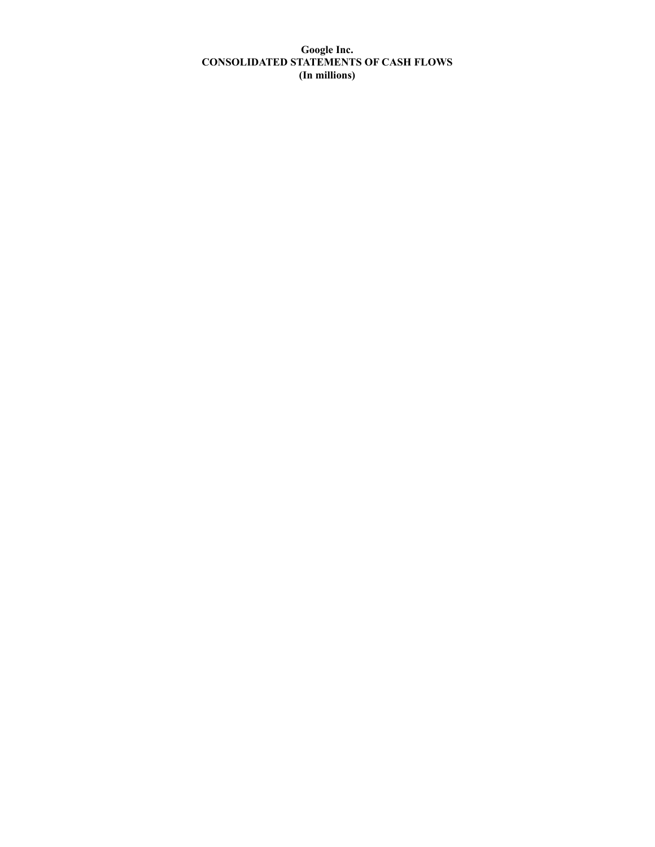## **Google Inc. CONSOLIDATED STATEMENTS OF CASH FLOWS (In millions)**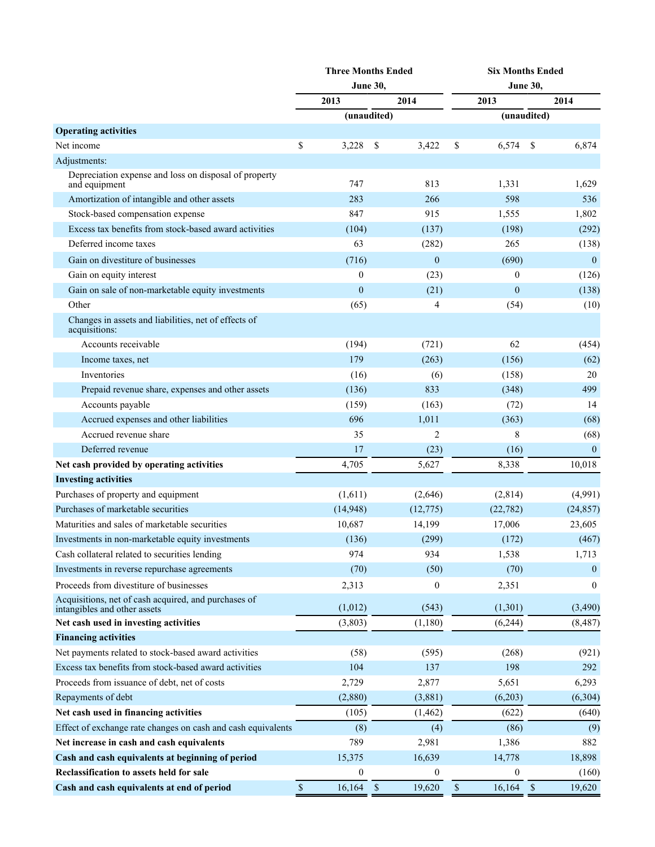|                                                                                      |              | <b>Three Months Ended</b><br><b>June 30,</b> |              |                  | <b>Six Months Ended</b><br>June 30, |                  |               |                |  |  |
|--------------------------------------------------------------------------------------|--------------|----------------------------------------------|--------------|------------------|-------------------------------------|------------------|---------------|----------------|--|--|
|                                                                                      | 2014<br>2013 |                                              |              |                  |                                     | 2013             | 2014          |                |  |  |
|                                                                                      |              | (unaudited)                                  |              |                  |                                     | (unaudited)      |               |                |  |  |
| <b>Operating activities</b>                                                          |              |                                              |              |                  |                                     |                  |               |                |  |  |
| Net income                                                                           | \$           | $3,228$ \$                                   |              | 3,422            | \$                                  | 6,574            | <sup>\$</sup> | 6,874          |  |  |
| Adjustments:                                                                         |              |                                              |              |                  |                                     |                  |               |                |  |  |
| Depreciation expense and loss on disposal of property                                |              |                                              |              |                  |                                     |                  |               |                |  |  |
| and equipment                                                                        |              | 747                                          |              | 813              |                                     | 1,331            |               | 1,629          |  |  |
| Amortization of intangible and other assets                                          |              | 283                                          |              | 266              |                                     | 598              |               | 536            |  |  |
| Stock-based compensation expense                                                     |              | 847                                          |              | 915              |                                     | 1,555            |               | 1,802          |  |  |
| Excess tax benefits from stock-based award activities                                |              | (104)                                        |              | (137)            |                                     | (198)            |               | (292)          |  |  |
| Deferred income taxes                                                                |              | 63                                           |              | (282)            |                                     | 265              |               | (138)          |  |  |
| Gain on divestiture of businesses                                                    |              | (716)                                        |              | $\boldsymbol{0}$ |                                     | (690)            |               | $\mathbf{0}$   |  |  |
| Gain on equity interest                                                              |              | $\boldsymbol{0}$                             |              | (23)             |                                     | $\boldsymbol{0}$ |               | (126)          |  |  |
| Gain on sale of non-marketable equity investments                                    |              | $\boldsymbol{0}$                             |              | (21)             |                                     | $\mathbf{0}$     |               | (138)          |  |  |
| Other                                                                                |              | (65)                                         |              | 4                |                                     | (54)             |               | (10)           |  |  |
| Changes in assets and liabilities, net of effects of<br>acquisitions:                |              |                                              |              |                  |                                     |                  |               |                |  |  |
| Accounts receivable                                                                  |              | (194)                                        |              | (721)            |                                     | 62               |               | (454)          |  |  |
| Income taxes, net                                                                    |              | 179                                          |              | (263)            |                                     | (156)            |               | (62)           |  |  |
| Inventories                                                                          |              | (16)                                         |              | (6)              |                                     | (158)            |               | 20             |  |  |
| Prepaid revenue share, expenses and other assets                                     |              | (136)                                        |              | 833              |                                     | (348)            |               | 499            |  |  |
| Accounts payable                                                                     |              | (159)                                        |              | (163)            |                                     | (72)             |               | 14             |  |  |
| Accrued expenses and other liabilities                                               |              | 696                                          |              | 1,011            |                                     | (363)            |               | (68)           |  |  |
| Accrued revenue share                                                                |              | 35                                           |              | $\overline{c}$   |                                     | 8                |               | (68)           |  |  |
| Deferred revenue                                                                     |              | 17                                           |              | (23)             |                                     | (16)             |               | $\theta$       |  |  |
| Net cash provided by operating activities                                            |              | 4,705                                        |              | 5,627            |                                     | 8,338            |               | 10,018         |  |  |
| <b>Investing activities</b>                                                          |              |                                              |              |                  |                                     |                  |               |                |  |  |
| Purchases of property and equipment                                                  |              | (1,611)                                      |              | (2,646)          |                                     | (2,814)          |               | (4,991)        |  |  |
| Purchases of marketable securities                                                   |              | (14, 948)                                    |              | (12, 775)        |                                     | (22, 782)        |               | (24, 857)      |  |  |
| Maturities and sales of marketable securities                                        |              | 10,687                                       |              | 14,199           |                                     | 17,006           |               | 23,605         |  |  |
| Investments in non-marketable equity investments                                     |              | (136)                                        |              | (299)            |                                     | (172)            |               | (467)          |  |  |
| Cash collateral related to securities lending                                        |              | 974                                          |              | 934              |                                     | 1,538            |               | 1,713          |  |  |
| Investments in reverse repurchase agreements                                         |              | (70)                                         |              | (50)             |                                     | (70)             |               | $\overline{0}$ |  |  |
| Proceeds from divestiture of businesses                                              |              | 2,313                                        |              | $\boldsymbol{0}$ |                                     | 2,351            |               | $\mathbf{0}$   |  |  |
| Acquisitions, net of cash acquired, and purchases of<br>intangibles and other assets |              | (1,012)                                      |              | (543)            |                                     | (1,301)          |               | (3,490)        |  |  |
| Net cash used in investing activities                                                |              | (3, 803)                                     |              | (1, 180)         |                                     | (6, 244)         |               | (8, 487)       |  |  |
| <b>Financing activities</b>                                                          |              |                                              |              |                  |                                     |                  |               |                |  |  |
| Net payments related to stock-based award activities                                 |              | (58)                                         |              | (595)            |                                     | (268)            |               | (921)          |  |  |
| Excess tax benefits from stock-based award activities                                |              | 104                                          |              | 137              |                                     | 198              |               | 292            |  |  |
| Proceeds from issuance of debt, net of costs                                         |              | 2,729                                        |              | 2,877            |                                     | 5,651            |               | 6,293          |  |  |
| Repayments of debt                                                                   |              | (2,880)                                      |              | (3,881)          |                                     | (6,203)          |               | (6, 304)       |  |  |
| Net cash used in financing activities                                                |              | (105)                                        |              | (1, 462)         |                                     | (622)            |               | (640)          |  |  |
| Effect of exchange rate changes on cash and cash equivalents                         |              | (8)                                          |              | (4)              |                                     | (86)             |               | (9)            |  |  |
| Net increase in cash and cash equivalents                                            |              | 789                                          |              | 2,981            |                                     | 1,386            |               | 882            |  |  |
| Cash and cash equivalents at beginning of period                                     |              | 15,375                                       |              | 16,639           |                                     | 14,778           |               | 18,898         |  |  |
| Reclassification to assets held for sale                                             |              | $\boldsymbol{0}$                             |              | $\boldsymbol{0}$ |                                     | $\boldsymbol{0}$ |               | (160)          |  |  |
| Cash and cash equivalents at end of period                                           | $\mathbb S$  | 16,164                                       | $\mathbb{S}$ | 19,620           | $\mathbb{S}$                        | 16,164           | $\mathcal{S}$ | 19,620         |  |  |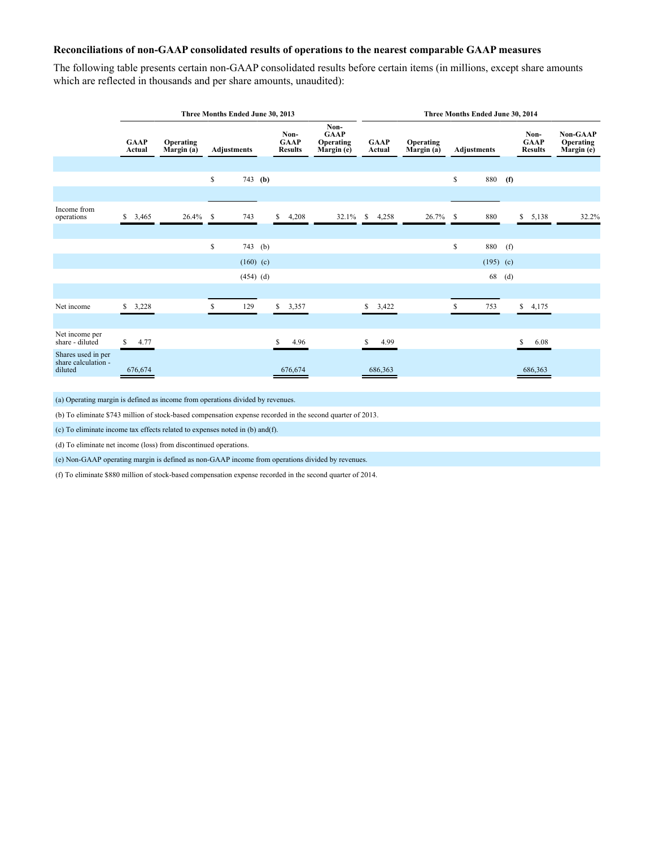#### **Reconciliations of non-GAAP consolidated results of operations to the nearest comparable GAAP measures**

The following table presents certain non-GAAP consolidated results before certain items (in millions, except share amounts which are reflected in thousands and per share amounts, unaudited):

|                                                      | Three Months Ended June 30, 2013 |                           |    |                    |     |                                       | Three Months Ended June 30, 2014               |              |                       |                           |              |                    |     |    |                                       |                                            |
|------------------------------------------------------|----------------------------------|---------------------------|----|--------------------|-----|---------------------------------------|------------------------------------------------|--------------|-----------------------|---------------------------|--------------|--------------------|-----|----|---------------------------------------|--------------------------------------------|
|                                                      | <b>GAAP</b><br>Actual            | Operating<br>Margin $(a)$ |    | <b>Adjustments</b> |     | Non-<br><b>GAAP</b><br><b>Results</b> | Non-<br><b>GAAP</b><br>Operating<br>Margin (e) |              | <b>GAAP</b><br>Actual | Operating<br>Margin $(a)$ |              | <b>Adjustments</b> |     |    | Non-<br><b>GAAP</b><br><b>Results</b> | <b>Non-GAAP</b><br>Operating<br>Margin (e) |
|                                                      |                                  |                           |    |                    |     |                                       |                                                |              |                       |                           |              |                    |     |    |                                       |                                            |
|                                                      |                                  |                           | \$ | 743                | (b) |                                       |                                                |              |                       |                           | $\mathbb{S}$ | 880                | (f) |    |                                       |                                            |
|                                                      |                                  |                           |    |                    |     |                                       |                                                |              |                       |                           |              |                    |     |    |                                       |                                            |
| Income from<br>operations                            | \$<br>3,465                      | 26.4%                     | -S | 743                |     | \$<br>4,208                           | 32.1%                                          | <sup>S</sup> | 4,258                 | 26.7%                     | <sup>S</sup> | 880                |     | \$ | 5,138                                 | 32.2%                                      |
|                                                      |                                  |                           |    |                    |     |                                       |                                                |              |                       |                           |              |                    |     |    |                                       |                                            |
|                                                      |                                  |                           | \$ | 743                | (b) |                                       |                                                |              |                       |                           | $\mathbb{S}$ | 880                | (f) |    |                                       |                                            |
|                                                      |                                  |                           |    | $(160)$ (c)        |     |                                       |                                                |              |                       |                           |              | $(195)$ (c)        |     |    |                                       |                                            |
|                                                      |                                  |                           |    | $(454)$ (d)        |     |                                       |                                                |              |                       |                           |              | 68                 | (d) |    |                                       |                                            |
|                                                      |                                  |                           |    |                    |     |                                       |                                                |              |                       |                           |              |                    |     |    |                                       |                                            |
| Net income                                           | S<br>3,228                       |                           | s. | 129                |     | \$<br>3,357                           |                                                | S.           | 3,422                 |                           | S            | 753                |     | \$ | 4,175                                 |                                            |
|                                                      |                                  |                           |    |                    |     |                                       |                                                |              |                       |                           |              |                    |     |    |                                       |                                            |
| Net income per<br>share - diluted                    | S<br>4.77                        |                           |    |                    |     | 4.96<br>\$.                           |                                                | S            | 4.99                  |                           |              |                    |     | S  | 6.08                                  |                                            |
| Shares used in per<br>share calculation -<br>diluted | 676,674                          |                           |    |                    |     | 676,674                               |                                                |              | 686,363               |                           |              |                    |     |    | 686,363                               |                                            |
|                                                      |                                  |                           |    |                    |     |                                       |                                                |              |                       |                           |              |                    |     |    |                                       |                                            |

(a) Operating margin is defined as income from operations divided by revenues.

(b) To eliminate \$743 million of stock-based compensation expense recorded in the second quarter of 2013.

(c) To eliminate income tax effects related to expenses noted in (b) and(f).

(d) To eliminate net income (loss) from discontinued operations.

(e) Non-GAAP operating margin is defined as non-GAAP income from operations divided by revenues.

(f) To eliminate \$880 million of stock-based compensation expense recorded in the second quarter of 2014.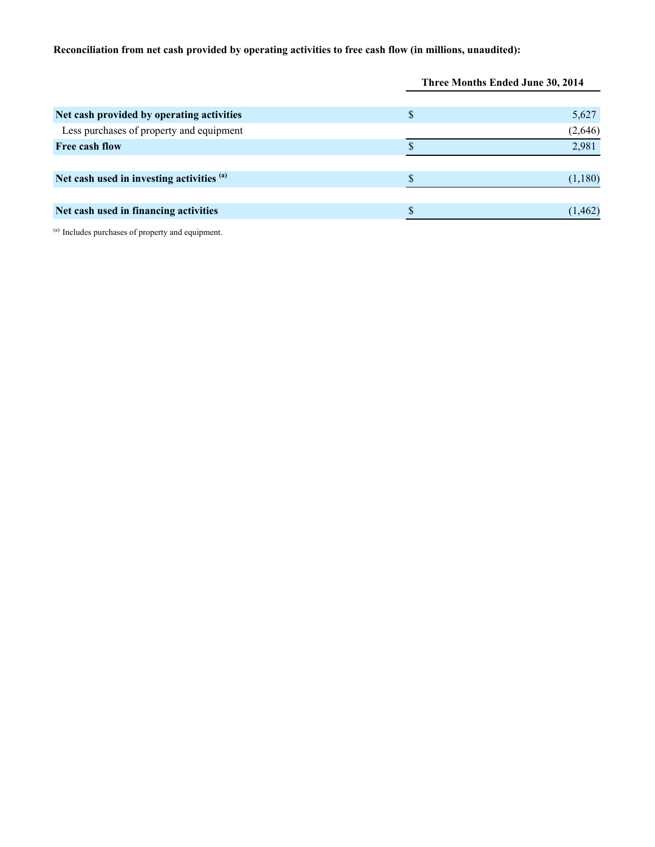**Reconciliation from net cash provided by operating activities to free cash flow (in millions, unaudited):**

|                                           |               | Three Months Ended June 30, 2014 |
|-------------------------------------------|---------------|----------------------------------|
|                                           |               |                                  |
| Net cash provided by operating activities | <sup>\$</sup> | 5,627                            |
| Less purchases of property and equipment  |               | (2,646)                          |
| Free cash flow                            |               | 2,981                            |
|                                           |               |                                  |
| Net cash used in investing activities (a) |               | (1,180)                          |
|                                           |               |                                  |
| Net cash used in financing activities     |               | (1, 462)                         |
|                                           |               |                                  |

(a) Includes purchases of property and equipment.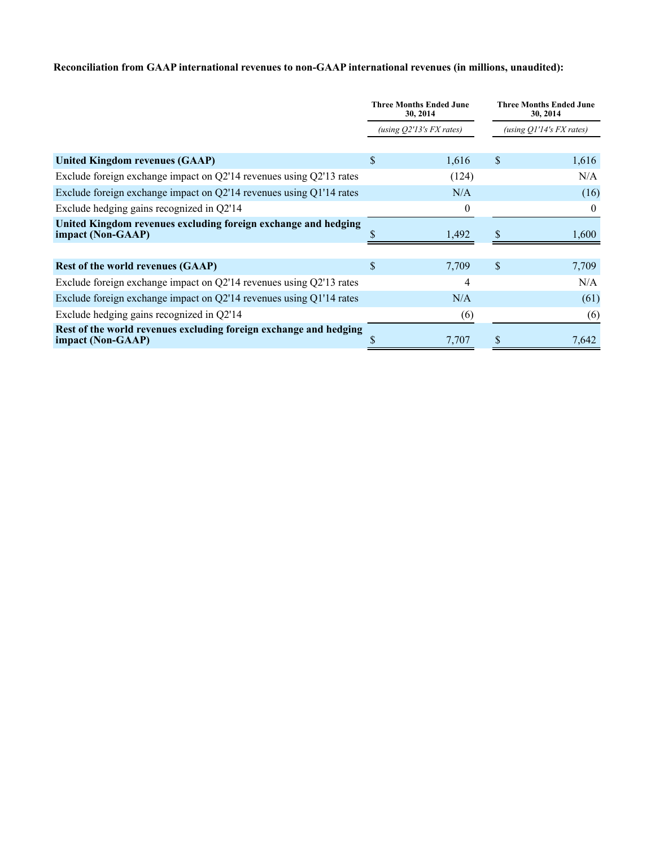# **Reconciliation from GAAP international revenues to non-GAAP international revenues (in millions, unaudited):**

|                                                                                        | <b>Three Months Ended June</b><br>30, 2014<br>(using $Q2'13's FX rates$ ) |          | <b>Three Months Ended June</b><br>30, 2014<br>(using $O1'14's FX rates$ ) |          |  |
|----------------------------------------------------------------------------------------|---------------------------------------------------------------------------|----------|---------------------------------------------------------------------------|----------|--|
|                                                                                        |                                                                           |          |                                                                           |          |  |
|                                                                                        |                                                                           |          |                                                                           |          |  |
| United Kingdom revenues (GAAP)                                                         | \$.                                                                       | 1,616    | \$                                                                        | 1,616    |  |
| Exclude foreign exchange impact on Q2'14 revenues using Q2'13 rates                    |                                                                           | (124)    |                                                                           | N/A      |  |
| Exclude foreign exchange impact on Q2'14 revenues using Q1'14 rates                    |                                                                           | N/A      |                                                                           | (16)     |  |
| Exclude hedging gains recognized in Q2'14                                              |                                                                           | $\theta$ |                                                                           | $\theta$ |  |
| United Kingdom revenues excluding foreign exchange and hedging<br>impact (Non-GAAP)    |                                                                           | 1,492    |                                                                           | 1,600    |  |
|                                                                                        |                                                                           |          |                                                                           |          |  |
| <b>Rest of the world revenues (GAAP)</b>                                               | \$                                                                        | 7,709    | \$                                                                        | 7,709    |  |
| Exclude foreign exchange impact on Q2'14 revenues using Q2'13 rates                    |                                                                           | 4        |                                                                           | N/A      |  |
| Exclude foreign exchange impact on Q2'14 revenues using Q1'14 rates                    |                                                                           | N/A      |                                                                           | (61)     |  |
| Exclude hedging gains recognized in Q2'14                                              |                                                                           | (6)      |                                                                           | (6)      |  |
| Rest of the world revenues excluding foreign exchange and hedging<br>impact (Non-GAAP) |                                                                           | 7,707    | \$                                                                        | 7,642    |  |